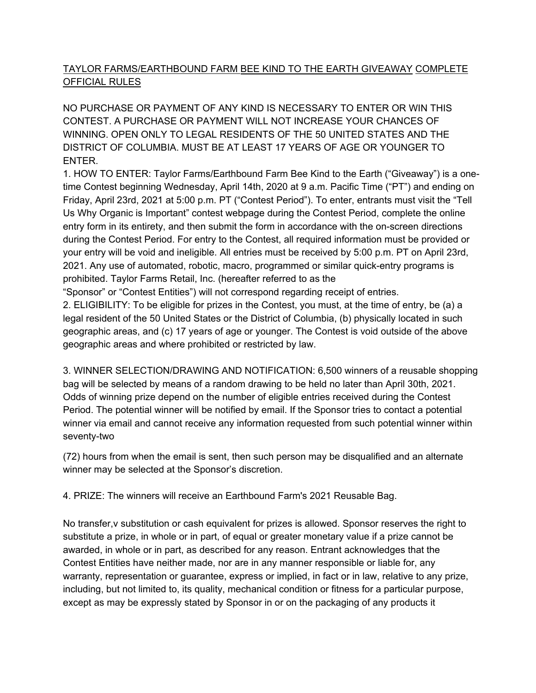## TAYLOR FARMS/EARTHBOUND FARM BEE KIND TO THE EARTH GIVEAWAY COMPLETE OFFICIAL RULES

NO PURCHASE OR PAYMENT OF ANY KIND IS NECESSARY TO ENTER OR WIN THIS CONTEST. A PURCHASE OR PAYMENT WILL NOT INCREASE YOUR CHANCES OF WINNING. OPEN ONLY TO LEGAL RESIDENTS OF THE 50 UNITED STATES AND THE DISTRICT OF COLUMBIA. MUST BE AT LEAST 17 YEARS OF AGE OR YOUNGER TO ENTER.

1. HOW TO ENTER: Taylor Farms/Earthbound Farm Bee Kind to the Earth ("Giveaway") is a onetime Contest beginning Wednesday, April 14th, 2020 at 9 a.m. Pacific Time ("PT") and ending on Friday, April 23rd, 2021 at 5:00 p.m. PT ("Contest Period"). To enter, entrants must visit the "Tell Us Why Organic is Important" contest webpage during the Contest Period, complete the online entry form in its entirety, and then submit the form in accordance with the on-screen directions during the Contest Period. For entry to the Contest, all required information must be provided or your entry will be void and ineligible. All entries must be received by 5:00 p.m. PT on April 23rd, 2021. Any use of automated, robotic, macro, programmed or similar quick-entry programs is prohibited. Taylor Farms Retail, Inc. (hereafter referred to as the

"Sponsor" or "Contest Entities") will not correspond regarding receipt of entries.

2. ELIGIBILITY: To be eligible for prizes in the Contest, you must, at the time of entry, be (a) a legal resident of the 50 United States or the District of Columbia, (b) physically located in such geographic areas, and (c) 17 years of age or younger. The Contest is void outside of the above geographic areas and where prohibited or restricted by law.

3. WINNER SELECTION/DRAWING AND NOTIFICATION: 6,500 winners of a reusable shopping bag will be selected by means of a random drawing to be held no later than April 30th, 2021. Odds of winning prize depend on the number of eligible entries received during the Contest Period. The potential winner will be notified by email. If the Sponsor tries to contact a potential winner via email and cannot receive any information requested from such potential winner within seventy-two

(72) hours from when the email is sent, then such person may be disqualified and an alternate winner may be selected at the Sponsor's discretion.

4. PRIZE: The winners will receive an Earthbound Farm's 2021 Reusable Bag.

No transfer,v substitution or cash equivalent for prizes is allowed. Sponsor reserves the right to substitute a prize, in whole or in part, of equal or greater monetary value if a prize cannot be awarded, in whole or in part, as described for any reason. Entrant acknowledges that the Contest Entities have neither made, nor are in any manner responsible or liable for, any warranty, representation or guarantee, express or implied, in fact or in law, relative to any prize, including, but not limited to, its quality, mechanical condition or fitness for a particular purpose, except as may be expressly stated by Sponsor in or on the packaging of any products it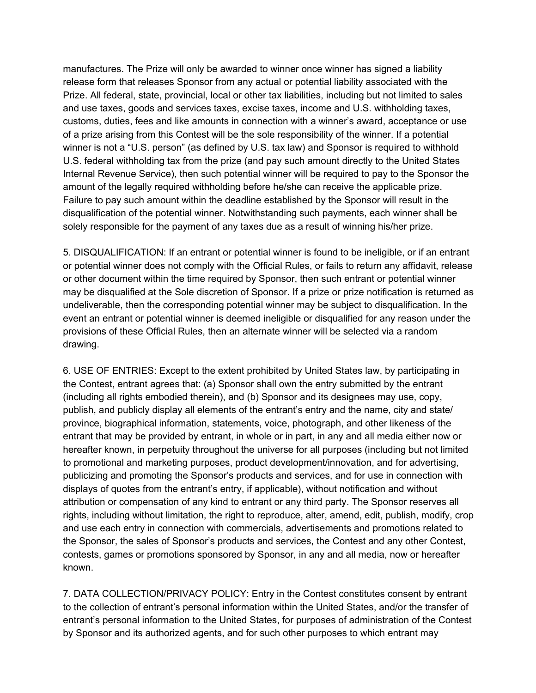manufactures. The Prize will only be awarded to winner once winner has signed a liability release form that releases Sponsor from any actual or potential liability associated with the Prize. All federal, state, provincial, local or other tax liabilities, including but not limited to sales and use taxes, goods and services taxes, excise taxes, income and U.S. withholding taxes, customs, duties, fees and like amounts in connection with a winner's award, acceptance or use of a prize arising from this Contest will be the sole responsibility of the winner. If a potential winner is not a "U.S. person" (as defined by U.S. tax law) and Sponsor is required to withhold U.S. federal withholding tax from the prize (and pay such amount directly to the United States Internal Revenue Service), then such potential winner will be required to pay to the Sponsor the amount of the legally required withholding before he/she can receive the applicable prize. Failure to pay such amount within the deadline established by the Sponsor will result in the disqualification of the potential winner. Notwithstanding such payments, each winner shall be solely responsible for the payment of any taxes due as a result of winning his/her prize.

5. DISQUALIFICATION: If an entrant or potential winner is found to be ineligible, or if an entrant or potential winner does not comply with the Official Rules, or fails to return any affidavit, release or other document within the time required by Sponsor, then such entrant or potential winner may be disqualified at the Sole discretion of Sponsor. If a prize or prize notification is returned as undeliverable, then the corresponding potential winner may be subject to disqualification. In the event an entrant or potential winner is deemed ineligible or disqualified for any reason under the provisions of these Official Rules, then an alternate winner will be selected via a random drawing.

6. USE OF ENTRIES: Except to the extent prohibited by United States law, by participating in the Contest, entrant agrees that: (a) Sponsor shall own the entry submitted by the entrant (including all rights embodied therein), and (b) Sponsor and its designees may use, copy, publish, and publicly display all elements of the entrant's entry and the name, city and state/ province, biographical information, statements, voice, photograph, and other likeness of the entrant that may be provided by entrant, in whole or in part, in any and all media either now or hereafter known, in perpetuity throughout the universe for all purposes (including but not limited to promotional and marketing purposes, product development/innovation, and for advertising, publicizing and promoting the Sponsor's products and services, and for use in connection with displays of quotes from the entrant's entry, if applicable), without notification and without attribution or compensation of any kind to entrant or any third party. The Sponsor reserves all rights, including without limitation, the right to reproduce, alter, amend, edit, publish, modify, crop and use each entry in connection with commercials, advertisements and promotions related to the Sponsor, the sales of Sponsor's products and services, the Contest and any other Contest, contests, games or promotions sponsored by Sponsor, in any and all media, now or hereafter known.

7. DATA COLLECTION/PRIVACY POLICY: Entry in the Contest constitutes consent by entrant to the collection of entrant's personal information within the United States, and/or the transfer of entrant's personal information to the United States, for purposes of administration of the Contest by Sponsor and its authorized agents, and for such other purposes to which entrant may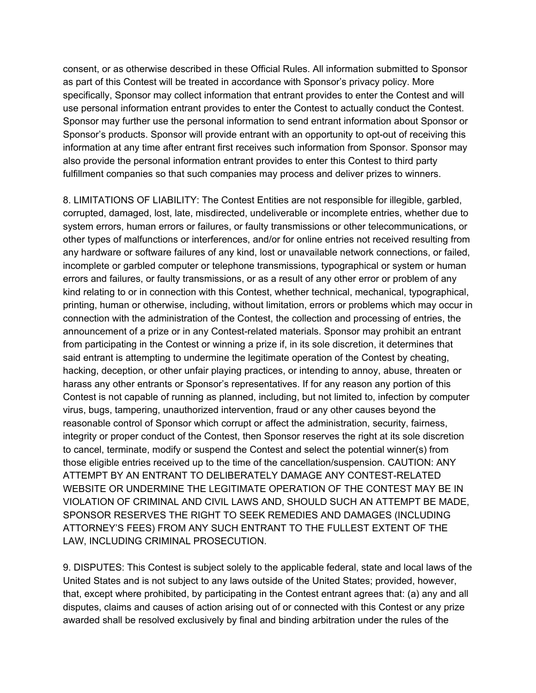consent, or as otherwise described in these Official Rules. All information submitted to Sponsor as part of this Contest will be treated in accordance with Sponsor's privacy policy. More specifically, Sponsor may collect information that entrant provides to enter the Contest and will use personal information entrant provides to enter the Contest to actually conduct the Contest. Sponsor may further use the personal information to send entrant information about Sponsor or Sponsor's products. Sponsor will provide entrant with an opportunity to opt-out of receiving this information at any time after entrant first receives such information from Sponsor. Sponsor may also provide the personal information entrant provides to enter this Contest to third party fulfillment companies so that such companies may process and deliver prizes to winners.

8. LIMITATIONS OF LIABILITY: The Contest Entities are not responsible for illegible, garbled, corrupted, damaged, lost, late, misdirected, undeliverable or incomplete entries, whether due to system errors, human errors or failures, or faulty transmissions or other telecommunications, or other types of malfunctions or interferences, and/or for online entries not received resulting from any hardware or software failures of any kind, lost or unavailable network connections, or failed, incomplete or garbled computer or telephone transmissions, typographical or system or human errors and failures, or faulty transmissions, or as a result of any other error or problem of any kind relating to or in connection with this Contest, whether technical, mechanical, typographical, printing, human or otherwise, including, without limitation, errors or problems which may occur in connection with the administration of the Contest, the collection and processing of entries, the announcement of a prize or in any Contest-related materials. Sponsor may prohibit an entrant from participating in the Contest or winning a prize if, in its sole discretion, it determines that said entrant is attempting to undermine the legitimate operation of the Contest by cheating, hacking, deception, or other unfair playing practices, or intending to annoy, abuse, threaten or harass any other entrants or Sponsor's representatives. If for any reason any portion of this Contest is not capable of running as planned, including, but not limited to, infection by computer virus, bugs, tampering, unauthorized intervention, fraud or any other causes beyond the reasonable control of Sponsor which corrupt or affect the administration, security, fairness, integrity or proper conduct of the Contest, then Sponsor reserves the right at its sole discretion to cancel, terminate, modify or suspend the Contest and select the potential winner(s) from those eligible entries received up to the time of the cancellation/suspension. CAUTION: ANY ATTEMPT BY AN ENTRANT TO DELIBERATELY DAMAGE ANY CONTEST-RELATED WEBSITE OR UNDERMINE THE LEGITIMATE OPERATION OF THE CONTEST MAY BE IN VIOLATION OF CRIMINAL AND CIVIL LAWS AND, SHOULD SUCH AN ATTEMPT BE MADE, SPONSOR RESERVES THE RIGHT TO SEEK REMEDIES AND DAMAGES (INCLUDING ATTORNEY'S FEES) FROM ANY SUCH ENTRANT TO THE FULLEST EXTENT OF THE LAW, INCLUDING CRIMINAL PROSECUTION.

9. DISPUTES: This Contest is subject solely to the applicable federal, state and local laws of the United States and is not subject to any laws outside of the United States; provided, however, that, except where prohibited, by participating in the Contest entrant agrees that: (a) any and all disputes, claims and causes of action arising out of or connected with this Contest or any prize awarded shall be resolved exclusively by final and binding arbitration under the rules of the